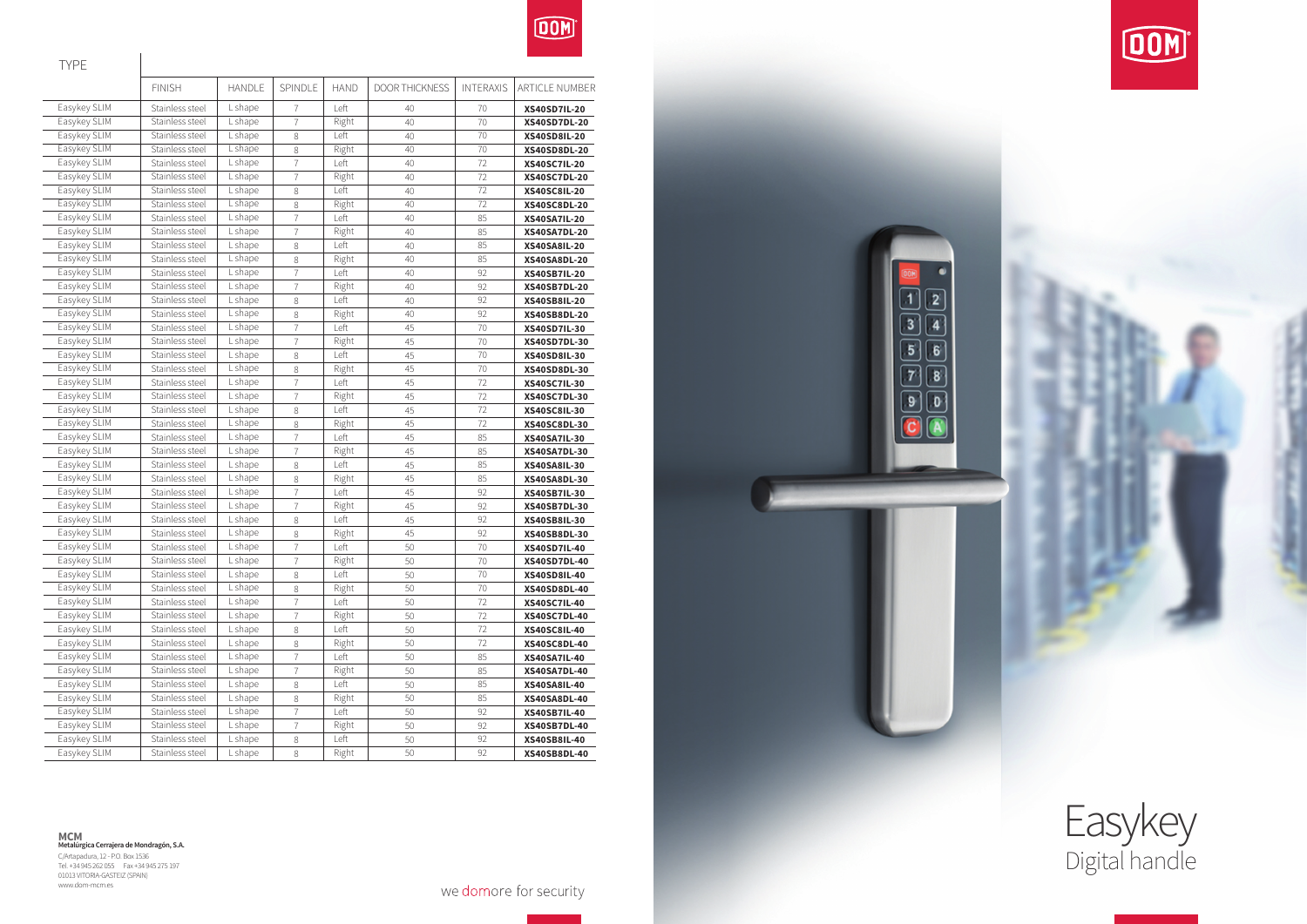

**MCM Metalúrgica Cerrajera de Mondragón, S.A.** C/Artapadura, 12 - P.O. Box 1536 Tel. +34 945 262 055 Fax +34 945 275 197 01013 VITORIA-GASTEIZ (SPAIN) www.dom-mcm.es

we domore for security





TYPE

|              | <b>FINISH</b>   | <b>HANDLE</b> | SPINDLE        | <b>HAND</b> | <b>DOOR THICKNESS</b> | <b>INTERAXIS</b> | ARTICLE NUMBER      |
|--------------|-----------------|---------------|----------------|-------------|-----------------------|------------------|---------------------|
| Easykey SLIM | Stainless steel | L shape       | 7              | Left        | 40                    | 70               | <b>XS40SD7IL-20</b> |
| Easykey SLIM | Stainless steel | L shape       | $\overline{7}$ | Right       | 40                    | 70               | <b>XS40SD7DL-20</b> |
| Easykey SLIM | Stainless steel | Lshape        | 8              | Left        | 40                    | 70               | <b>XS40SD8IL-20</b> |
| Easykey SLIM | Stainless steel | Lshape        | 8              | Right       | 40                    | 70               | <b>XS40SD8DL-20</b> |
| Easykey SLIM | Stainless steel | L shape       | $\overline{7}$ | Left        | 40                    | 72               | <b>XS40SC7IL-20</b> |
| Easykey SLIM | Stainless steel | L shape       | $\overline{7}$ | Right       | 40                    | 72               | <b>XS40SC7DL-20</b> |
| Easykey SLIM | Stainless steel | L shape       | 8              | Left        | 40                    | 72               | <b>XS40SC8IL-20</b> |
| Easykey SLIM | Stainless steel | L shape       | 8              | Right       | 40                    | 72               | <b>XS40SC8DL-20</b> |
| Easykey SLIM | Stainless steel | L shape       | $\overline{7}$ | Left        | 40                    | 85               | <b>XS40SA7IL-20</b> |
| Easykey SLIM | Stainless steel | L shape       | 7              | Right       | 40                    | 85               | <b>XS40SA7DL-20</b> |
| Easykey SLIM | Stainless steel | L shape       | 8              | Left        | 40                    | 85               | <b>XS40SA8IL-20</b> |
| Easykey SLIM | Stainless steel | L shape       | 8              | Right       | 40                    | 85               | <b>XS40SA8DL-20</b> |
| Easykey SLIM | Stainless steel | L shape       | $\overline{1}$ | Left        | 40                    | 92               | <b>XS40SB7IL-20</b> |
| Easykey SLIM | Stainless steel | L shape       | $\overline{1}$ | Right       | 40                    | 92               | <b>XS40SB7DL-20</b> |
| Easykey SLIM | Stainless steel | L shape       | 8              | Left        | 40                    | 92               | <b>XS40SB8IL-20</b> |
| Easykey SLIM | Stainless steel | L shape       | 8              | Right       | 40                    | 92               | <b>XS40SB8DL-20</b> |
| Easykey SLIM | Stainless steel | L shape       | $\overline{7}$ | Left        | 45                    | 70               | <b>XS40SD7IL-30</b> |
| Easykey SLIM | Stainless steel | L shape       | $\overline{7}$ | Right       | 45                    | 70               | <b>XS40SD7DL-30</b> |
| Easykey SLIM | Stainless steel | L shape       | 8              | Left        | 45                    | 70               | <b>XS40SD8IL-30</b> |
| Easykey SLIM | Stainless steel | L shape       | 8              | Right       | 45                    | 70               | <b>XS40SD8DL-30</b> |
| Easykey SLIM | Stainless steel | L shape       | $\overline{7}$ | Left        | 45                    | 72               | <b>XS40SC7IL-30</b> |
| Easykey SLIM | Stainless steel | L shape       | $\overline{7}$ | Right       | 45                    | 72               | <b>XS40SC7DL-30</b> |
| Easykey SLIM | Stainless steel | L shape       | 8              | Left        | 45                    | 72               | <b>XS40SC8IL-30</b> |
| Easykey SLIM | Stainless steel | L shape       | 8              | Right       | 45                    | 72               | <b>XS40SC8DL-30</b> |
| Easykey SLIM | Stainless steel | L shape       | $\overline{7}$ | Left        | 45                    | 85               | <b>XS40SA7IL-30</b> |
| Easykey SLIM | Stainless steel | L shape       | $\overline{7}$ | Right       | 45                    | 85               | <b>XS40SA7DL-30</b> |
| Easykey SLIM | Stainless steel | L shape       | 8              | Left        | 45                    | 85               | <b>XS40SA8IL-30</b> |
| Easykey SLIM | Stainless steel | L shape       | 8              | Right       | 45                    | 85               | <b>XS40SA8DL-30</b> |
| Easykey SLIM | Stainless steel | L shape       | $\overline{1}$ | Left        | 45                    | 92               | <b>XS40SB7IL-30</b> |
| Easykey SLIM | Stainless steel | L shape       | $\overline{1}$ | Right       | 45                    | 92               | <b>XS40SB7DL-30</b> |
| Easykey SLIM | Stainless steel | L shape       | 8              | Left        | 45                    | 92               | XS40SB8IL-30        |
| Easykey SLIM | Stainless steel | L shape       | 8              | Right       | 45                    | 92               | <b>XS40SB8DL-30</b> |
| Easykey SLIM | Stainless steel | L shape       | $\overline{1}$ | Left        | 50                    | 70               | <b>XS40SD7IL-40</b> |
| Easykey SLIM | Stainless steel | L shape       | $\overline{7}$ | Right       | 50                    | 70               | <b>XS40SD7DL-40</b> |
| Easykey SLIM | Stainless steel | L shape       | 8              | Left        | 50                    | 70               | <b>XS40SD8IL-40</b> |
| Easykey SLIM | Stainless steel | L shape       | 8              | Right       | 50                    | 70               | <b>XS40SD8DL-40</b> |
| Easykey SLIM | Stainless steel | L shape       | $\overline{7}$ | Left        | 50                    | 72               | <b>XS40SC7IL-40</b> |
| Easykey SLIM | Stainless steel | L shape       | $\overline{7}$ | Right       | 50                    | 72               | <b>XS40SC7DL-40</b> |
| Easykey SLIM | Stainless steel | L shape       | 8              | Left        | 50                    | 72               | XS40SC8IL-40        |
| Easykey SLIM | Stainless steel | L shape       | 8              | Right       | 50                    | 72               | <b>XS40SC8DL-40</b> |
| Easykey SLIM | Stainless steel | L shape       | 7              | Left        | 50                    | 85               | <b>XS40SA7IL-40</b> |
| Easykey SLIM | Stainless steel | L shape       | $\overline{7}$ | Right       | 50                    | 85               | <b>XS40SA7DL-40</b> |
| Easykey SLIM | Stainless steel | L shape       | 8              | Left        | 50                    | 85               | <b>XS40SA8IL-40</b> |
| Easykey SLIM | Stainless steel | L shape       | 8              | Right       | 50                    | 85               | <b>XS40SA8DL-40</b> |
| Easykey SLIM | Stainless steel | L shape       | 7              | Left        | 50                    | 92               | <b>XS40SB7IL-40</b> |
| Easykey SLIM | Stainless steel | L shape       | 7              | Right       | 50                    | 92               | <b>XS40SB7DL-40</b> |
| Easykey SLIM | Stainless steel | L shape       | 8              | Left        | 50                    | 92               | <b>XS40SB8IL-40</b> |
| Easykey SLIM | Stainless steel | L shape       | 8              | Right       | 50                    | 92               | <b>XS40SB8DL-40</b> |

 $\overline{2}$  $\mathbf{1}$  $\overline{\overline{\overline{3}}}$  $\overline{4}$ 5  $\boxed{6}$ 7  $\overline{\mathbf{8}}$ 9 o